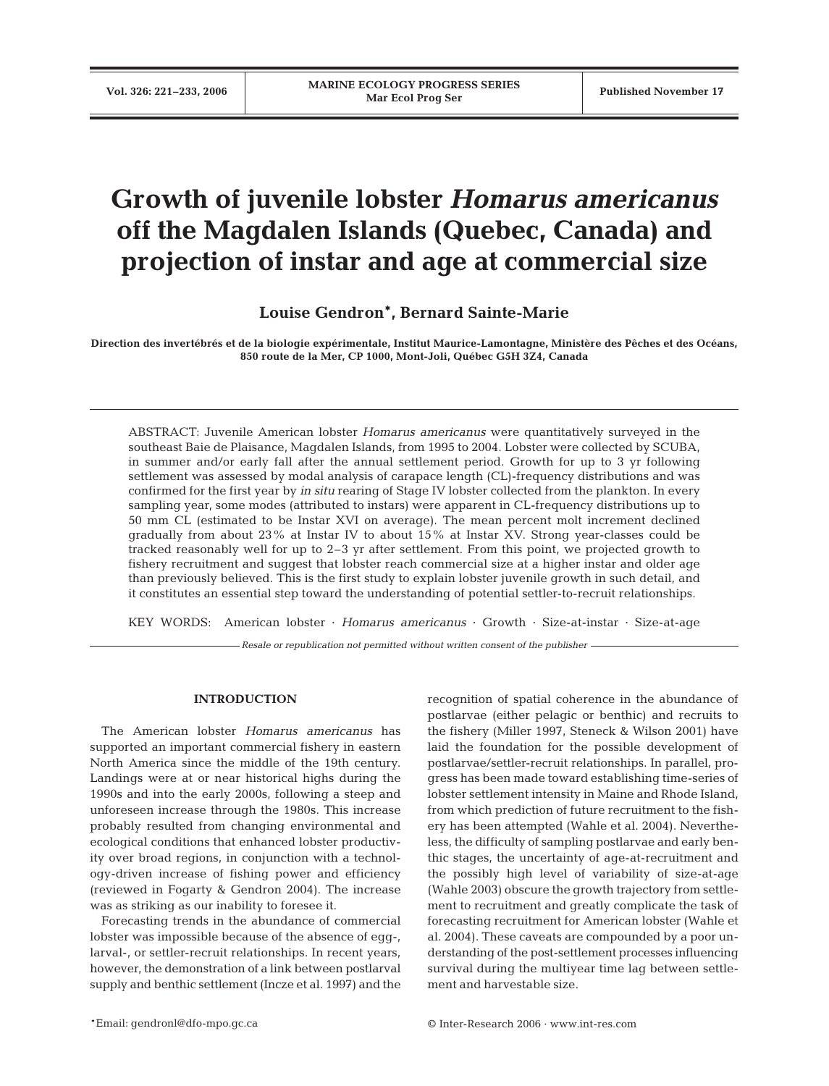# **Growth of juvenile lobster** *Homarus americanus* **off the Magdalen Islands (Quebec, Canada) and projection of instar and age at commercial size**

# **Louise Gendron\*, Bernard Sainte-Marie**

**Direction des invertébrés et de la biologie expérimentale, Institut Maurice-Lamontagne, Ministère des Pêches et des Océans, 850 route de la Mer, CP 1000, Mont-Joli, Québec G5H 3Z4, Canada**

ABSTRACT: Juvenile American lobster *Homarus americanus* were quantitatively surveyed in the southeast Baie de Plaisance, Magdalen Islands, from 1995 to 2004. Lobster were collected by SCUBA, in summer and/or early fall after the annual settlement period. Growth for up to 3 yr following settlement was assessed by modal analysis of carapace length (CL)-frequency distributions and was confirmed for the first year by *in situ* rearing of Stage IV lobster collected from the plankton. In every sampling year, some modes (attributed to instars) were apparent in CL-frequency distributions up to 50 mm CL (estimated to be Instar XVI on average). The mean percent molt increment declined gradually from about 23% at Instar IV to about 15% at Instar XV. Strong year-classes could be tracked reasonably well for up to 2–3 yr after settlement. From this point, we projected growth to fishery recruitment and suggest that lobster reach commercial size at a higher instar and older age than previously believed. This is the first study to explain lobster juvenile growth in such detail, and it constitutes an essential step toward the understanding of potential settler-to-recruit relationships.

KEY WORDS: American lobster · *Homarus americanus* · Growth · Size-at-instar · Size-at-age

*Resale or republication not permitted without written consent of the publisher*

# **INTRODUCTION**

The American lobster *Homarus americanus* has supported an important commercial fishery in eastern North America since the middle of the 19th century. Landings were at or near historical highs during the 1990s and into the early 2000s, following a steep and unforeseen increase through the 1980s. This increase probably resulted from changing environmental and ecological conditions that enhanced lobster productivity over broad regions, in conjunction with a technology-driven increase of fishing power and efficiency (reviewed in Fogarty & Gendron 2004). The increase was as striking as our inability to foresee it.

Forecasting trends in the abundance of commercial lobster was impossible because of the absence of egg-, larval-, or settler-recruit relationships. In recent years, however, the demonstration of a link between postlarval supply and benthic settlement (Incze et al. 1997) and the recognition of spatial coherence in the abundance of postlarvae (either pelagic or benthic) and recruits to the fishery (Miller 1997, Steneck & Wilson 2001) have laid the foundation for the possible development of postlarvae/settler-recruit relationships. In parallel, progress has been made toward establishing time-series of lobster settlement intensity in Maine and Rhode Island, from which prediction of future recruitment to the fishery has been attempted (Wahle et al. 2004). Nevertheless, the difficulty of sampling postlarvae and early benthic stages, the uncertainty of age-at-recruitment and the possibly high level of variability of size-at-age (Wahle 2003) obscure the growth trajectory from settlement to recruitment and greatly complicate the task of forecasting recruitment for American lobster (Wahle et al. 2004). These caveats are compounded by a poor understanding of the post-settlement processes influencing survival during the multiyear time lag between settlement and harvestable size.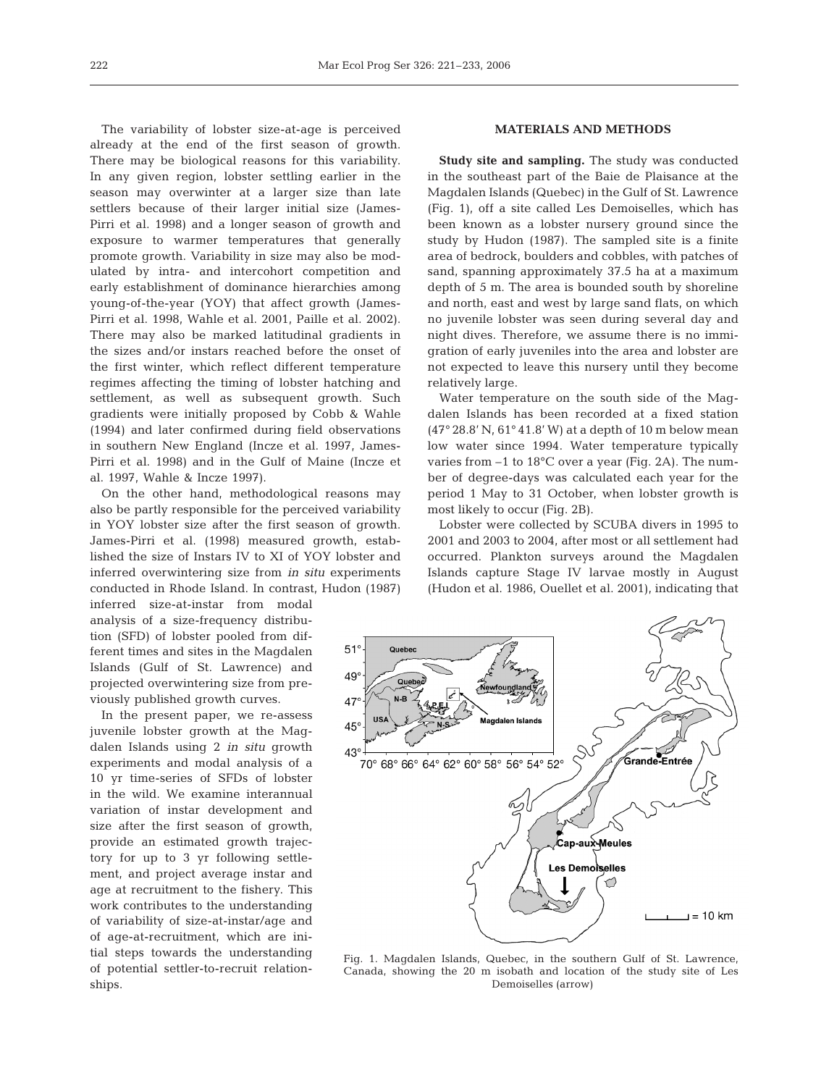The variability of lobster size-at-age is perceived already at the end of the first season of growth. There may be biological reasons for this variability. In any given region, lobster settling earlier in the season may overwinter at a larger size than late settlers because of their larger initial size (James-Pirri et al. 1998) and a longer season of growth and exposure to warmer temperatures that generally promote growth. Variability in size may also be modulated by intra- and intercohort competition and early establishment of dominance hierarchies among young-of-the-year (YOY) that affect growth (James-Pirri et al. 1998, Wahle et al. 2001, Paille et al. 2002). There may also be marked latitudinal gradients in the sizes and/or instars reached before the onset of the first winter, which reflect different temperature regimes affecting the timing of lobster hatching and settlement, as well as subsequent growth. Such gradients were initially proposed by Cobb & Wahle (1994) and later confirmed during field observations in southern New England (Incze et al. 1997, James-Pirri et al. 1998) and in the Gulf of Maine (Incze et al. 1997, Wahle & Incze 1997).

On the other hand, methodological reasons may also be partly responsible for the perceived variability in YOY lobster size after the first season of growth. James-Pirri et al. (1998) measured growth, established the size of Instars IV to XI of YOY lobster and inferred overwintering size from *in situ* experiments conducted in Rhode Island. In contrast, Hudon (1987)

inferred size-at-instar from modal analysis of a size-frequency distribution (SFD) of lobster pooled from different times and sites in the Magdalen Islands (Gulf of St. Lawrence) and projected overwintering size from previously published growth curves.

In the present paper, we re-assess juvenile lobster growth at the Magdalen Islands using 2 *in situ* growth experiments and modal analysis of a 10 yr time-series of SFDs of lobster in the wild. We examine interannual variation of instar development and size after the first season of growth, provide an estimated growth trajectory for up to 3 yr following settlement, and project average instar and age at recruitment to the fishery. This work contributes to the understanding of variability of size-at-instar/age and of age-at-recruitment, which are initial steps towards the understanding of potential settler-to-recruit relationships.

# **MATERIALS AND METHODS**

**Study site and sampling.** The study was conducted in the southeast part of the Baie de Plaisance at the Magdalen Islands (Quebec) in the Gulf of St. Lawrence (Fig. 1), off a site called Les Demoiselles, which has been known as a lobster nursery ground since the study by Hudon (1987). The sampled site is a finite area of bedrock, boulders and cobbles, with patches of sand, spanning approximately 37.5 ha at a maximum depth of 5 m. The area is bounded south by shoreline and north, east and west by large sand flats, on which no juvenile lobster was seen during several day and night dives. Therefore, we assume there is no immigration of early juveniles into the area and lobster are not expected to leave this nursery until they become relatively large.

Water temperature on the south side of the Magdalen Islands has been recorded at a fixed station (47° 28.8' N, 61° 41.8' W) at a depth of 10 m below mean low water since 1994. Water temperature typically varies from –1 to 18°C over a year (Fig. 2A). The number of degree-days was calculated each year for the period 1 May to 31 October, when lobster growth is most likely to occur (Fig. 2B).

Lobster were collected by SCUBA divers in 1995 to 2001 and 2003 to 2004, after most or all settlement had occurred. Plankton surveys around the Magdalen Islands capture Stage IV larvae mostly in August (Hudon et al. 1986, Ouellet et al. 2001), indicating that



Fig. 1. Magdalen Islands, Quebec, in the southern Gulf of St. Lawrence, Canada, showing the 20 m isobath and location of the study site of Les Demoiselles (arrow)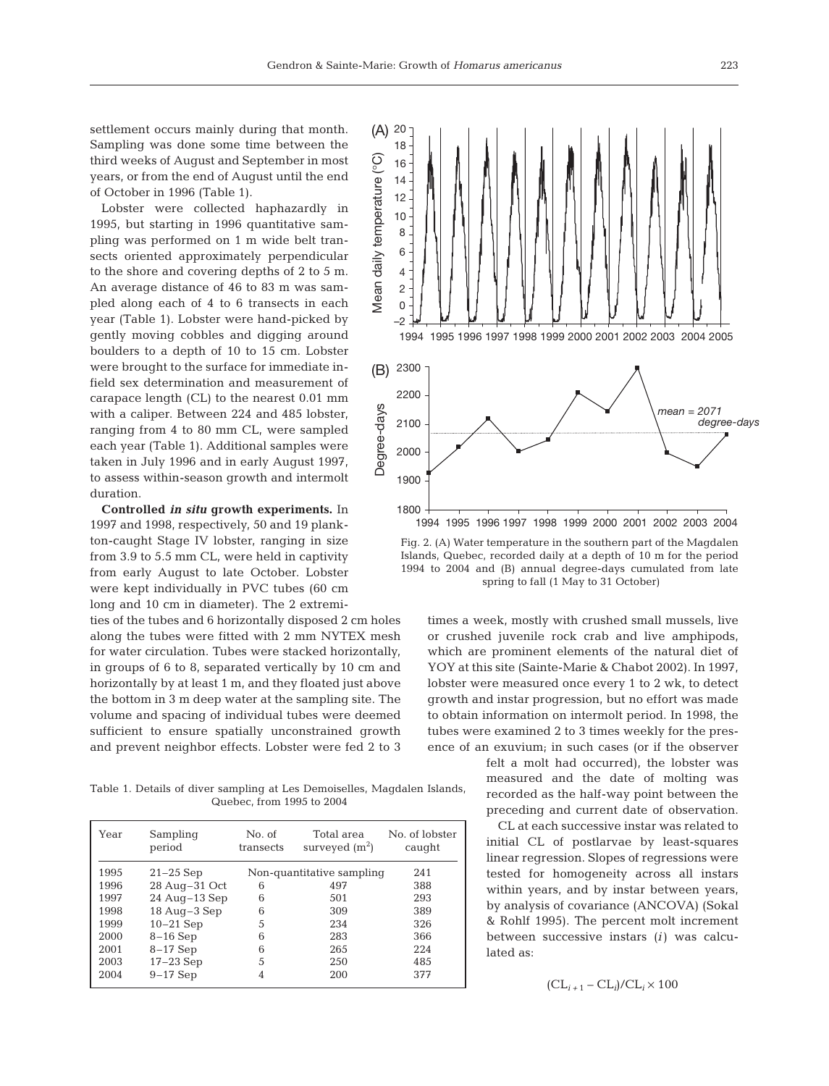settlement occurs mainly during that month. Sampling was done some time between the third weeks of August and September in most years, or from the end of August until the end of October in 1996 (Table 1).

Lobster were collected haphazardly in 1995, but starting in 1996 quantitative sampling was performed on 1 m wide belt transects oriented approximately perpendicular to the shore and covering depths of 2 to 5 m. An average distance of 46 to 83 m was sampled along each of 4 to 6 transects in each year (Table 1). Lobster were hand-picked by gently moving cobbles and digging around boulders to a depth of 10 to 15 cm. Lobster were brought to the surface for immediate infield sex determination and measurement of carapace length (CL) to the nearest 0.01 mm with a caliper. Between 224 and 485 lobster, ranging from 4 to 80 mm CL, were sampled each year (Table 1). Additional samples were taken in July 1996 and in early August 1997, to assess within-season growth and intermolt duration.

**Controlled** *in situ* **growth experiments.** In 1997 and 1998, respectively, 50 and 19 plankton-caught Stage IV lobster, ranging in size from 3.9 to 5.5 mm CL, were held in captivity from early August to late October. Lobster were kept individually in PVC tubes (60 cm long and 10 cm in diameter). The 2 extremi-

ties of the tubes and 6 horizontally disposed 2 cm holes along the tubes were fitted with 2 mm NYTEX mesh for water circulation. Tubes were stacked horizontally, in groups of 6 to 8, separated vertically by 10 cm and horizontally by at least 1 m, and they floated just above the bottom in 3 m deep water at the sampling site. The volume and spacing of individual tubes were deemed sufficient to ensure spatially unconstrained growth and prevent neighbor effects. Lobster were fed 2 to 3

Table 1. Details of diver sampling at Les Demoiselles, Magdalen Islands, Quebec, from 1995 to 2004

| Year | Sampling<br>period | No. of<br>transects | Total area<br>surveyed $(m^2)$ | No. of lobster<br>caught |
|------|--------------------|---------------------|--------------------------------|--------------------------|
| 1995 | $21-25$ Sep        |                     | Non-quantitative sampling      | 241                      |
| 1996 | 28 Aug-31 Oct      | 6                   | 497                            | 388                      |
| 1997 | $24$ Aug-13 Sep    | 6                   | 501                            | 293                      |
| 1998 | 18 Aug-3 Sep       | 6                   | 309                            | 389                      |
| 1999 | $10-21$ Sep        | 5                   | 234                            | 326                      |
| 2000 | $8-16$ Sep         | 6                   | 283                            | 366                      |
| 2001 | $8-17$ Sep         | 6                   | 265                            | 224                      |
| 2003 | $17-23$ Sep        | 5                   | 250                            | 485                      |
| 2004 | $9-17$ Sep         |                     | 200                            | 377                      |



Fig. 2. (A) Water temperature in the southern part of the Magdalen Islands, Quebec, recorded daily at a depth of 10 m for the period 1994 to 2004 and (B) annual degree-days cumulated from late spring to fall (1 May to 31 October)

times a week, mostly with crushed small mussels, live or crushed juvenile rock crab and live amphipods, which are prominent elements of the natural diet of YOY at this site (Sainte-Marie & Chabot 2002). In 1997, lobster were measured once every 1 to 2 wk, to detect growth and instar progression, but no effort was made to obtain information on intermolt period. In 1998, the tubes were examined 2 to 3 times weekly for the presence of an exuvium; in such cases (or if the observer

> felt a molt had occurred), the lobster was measured and the date of molting was recorded as the half-way point between the preceding and current date of observation.

> CL at each successive instar was related to initial CL of postlarvae by least-squares linear regression. Slopes of regressions were tested for homogeneity across all instars within years, and by instar between years, by analysis of covariance (ANCOVA) (Sokal & Rohlf 1995). The percent molt increment between successive instars (*i*) was calculated as:

$$
(\mathrm{CL}_{i+1}-\mathrm{CL}_i)/\mathrm{CL}_i \times 100
$$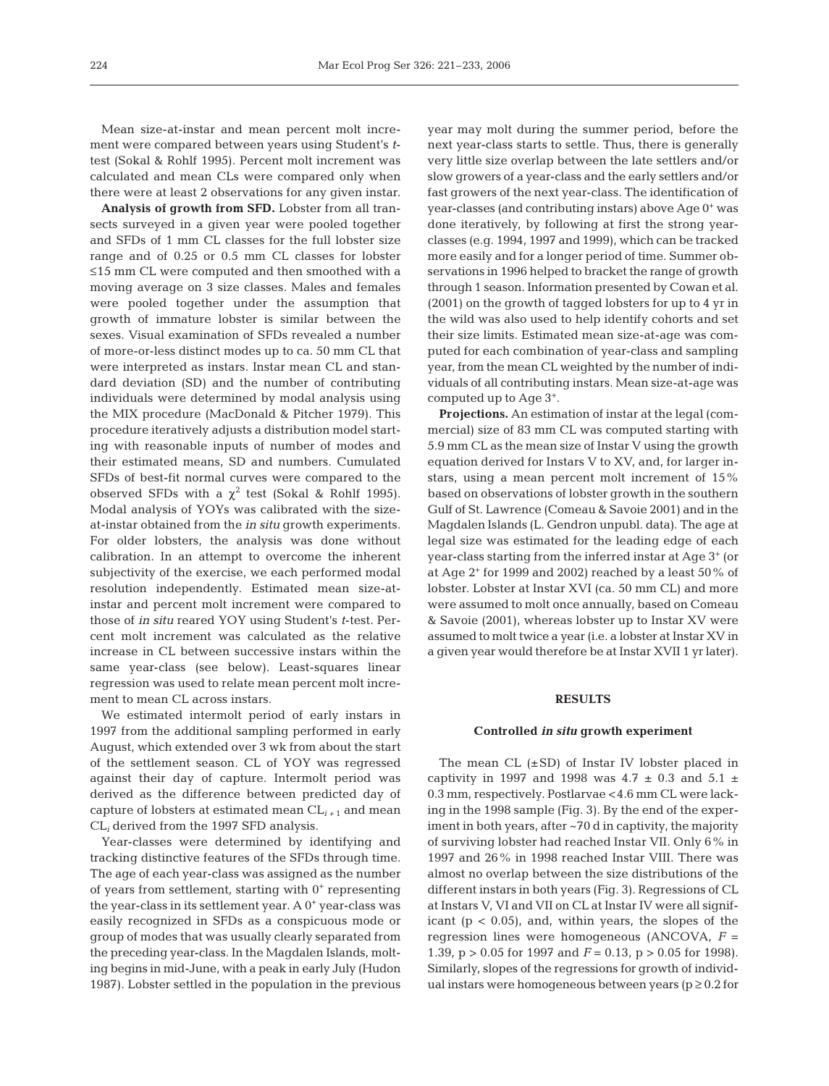Mean size-at-instar and mean percent molt increment were compared between years using Student's *t*test (Sokal & Rohlf 1995). Percent molt increment was calculated and mean CLs were compared only when there were at least 2 observations for any given instar.

**Analysis of growth from SFD.** Lobster from all transects surveyed in a given year were pooled together and SFDs of 1 mm CL classes for the full lobster size range and of 0.25 or 0.5 mm CL classes for lobster ≤15 mm CL were computed and then smoothed with a moving average on 3 size classes. Males and females were pooled together under the assumption that growth of immature lobster is similar between the sexes. Visual examination of SFDs revealed a number of more-or-less distinct modes up to ca. 50 mm CL that were interpreted as instars. Instar mean CL and standard deviation (SD) and the number of contributing individuals were determined by modal analysis using the MIX procedure (MacDonald & Pitcher 1979). This procedure iteratively adjusts a distribution model starting with reasonable inputs of number of modes and their estimated means, SD and numbers. Cumulated SFDs of best-fit normal curves were compared to the observed SFDs with a  $\chi^2$  test (Sokal & Rohlf 1995). Modal analysis of YOYs was calibrated with the sizeat-instar obtained from the *in situ* growth experiments. For older lobsters, the analysis was done without calibration. In an attempt to overcome the inherent subjectivity of the exercise, we each performed modal resolution independently. Estimated mean size-atinstar and percent molt increment were compared to those of *in situ* reared YOY using Student's *t*-test. Percent molt increment was calculated as the relative increase in CL between successive instars within the same year-class (see below). Least-squares linear regression was used to relate mean percent molt increment to mean CL across instars.

We estimated intermolt period of early instars in 1997 from the additional sampling performed in early August, which extended over 3 wk from about the start of the settlement season. CL of YOY was regressed against their day of capture. Intermolt period was derived as the difference between predicted day of capture of lobsters at estimated mean CL*i +* <sup>1</sup> and mean CL*<sup>i</sup>* derived from the 1997 SFD analysis.

Year-classes were determined by identifying and tracking distinctive features of the SFDs through time. The age of each year-class was assigned as the number of years from settlement, starting with  $0^+$  representing the year-class in its settlement year. A 0<sup>+</sup> year-class was easily recognized in SFDs as a conspicuous mode or group of modes that was usually clearly separated from the preceding year-class. In the Magdalen Islands, molting begins in mid-June, with a peak in early July (Hudon 1987). Lobster settled in the population in the previous

year may molt during the summer period, before the next year-class starts to settle. Thus, there is generally very little size overlap between the late settlers and/or slow growers of a year-class and the early settlers and/or fast growers of the next year-class. The identification of year-classes (and contributing instars) above Age 0<sup>+</sup> was done iteratively, by following at first the strong yearclasses (e.g. 1994, 1997 and 1999), which can be tracked more easily and for a longer period of time. Summer observations in 1996 helped to bracket the range of growth through 1 season. Information presented by Cowan et al. (2001) on the growth of tagged lobsters for up to 4 yr in the wild was also used to help identify cohorts and set their size limits. Estimated mean size-at-age was computed for each combination of year-class and sampling year, from the mean CL weighted by the number of individuals of all contributing instars. Mean size-at-age was computed up to Age 3+.

**Projections.** An estimation of instar at the legal (commercial) size of 83 mm CL was computed starting with 5.9 mm CL as the mean size of Instar V using the growth equation derived for Instars V to XV, and, for larger instars, using a mean percent molt increment of 15% based on observations of lobster growth in the southern Gulf of St. Lawrence (Comeau & Savoie 2001) and in the Magdalen Islands (L. Gendron unpubl. data). The age at legal size was estimated for the leading edge of each year-class starting from the inferred instar at Age 3+ (or at Age  $2^+$  for 1999 and 2002) reached by a least 50% of lobster. Lobster at Instar XVI (ca. 50 mm CL) and more were assumed to molt once annually, based on Comeau & Savoie (2001), whereas lobster up to Instar XV were assumed to molt twice a year (i.e. a lobster at Instar XV in a given year would therefore be at Instar XVII 1 yr later).

### **RESULTS**

# **Controlled** *in situ* **growth experiment**

The mean CL  $(\pm SD)$  of Instar IV lobster placed in captivity in 1997 and 1998 was  $4.7 \pm 0.3$  and  $5.1 \pm$ 0.3 mm, respectively. Postlarvae <4.6 mm CL were lacking in the 1998 sample (Fig. 3). By the end of the experiment in both years, after ~70 d in captivity, the majority of surviving lobster had reached Instar VII. Only 6% in 1997 and 26% in 1998 reached Instar VIII. There was almost no overlap between the size distributions of the different instars in both years (Fig. 3). Regressions of CL at Instars V, VI and VII on CL at Instar IV were all significant  $(p < 0.05)$ , and, within years, the slopes of the regression lines were homogeneous (ANCOVA, *F* = 1.39, p > 0.05 for 1997 and *F* = 0.13, p > 0.05 for 1998). Similarly, slopes of the regressions for growth of individual instars were homogeneous between years ( $p \ge 0.2$  for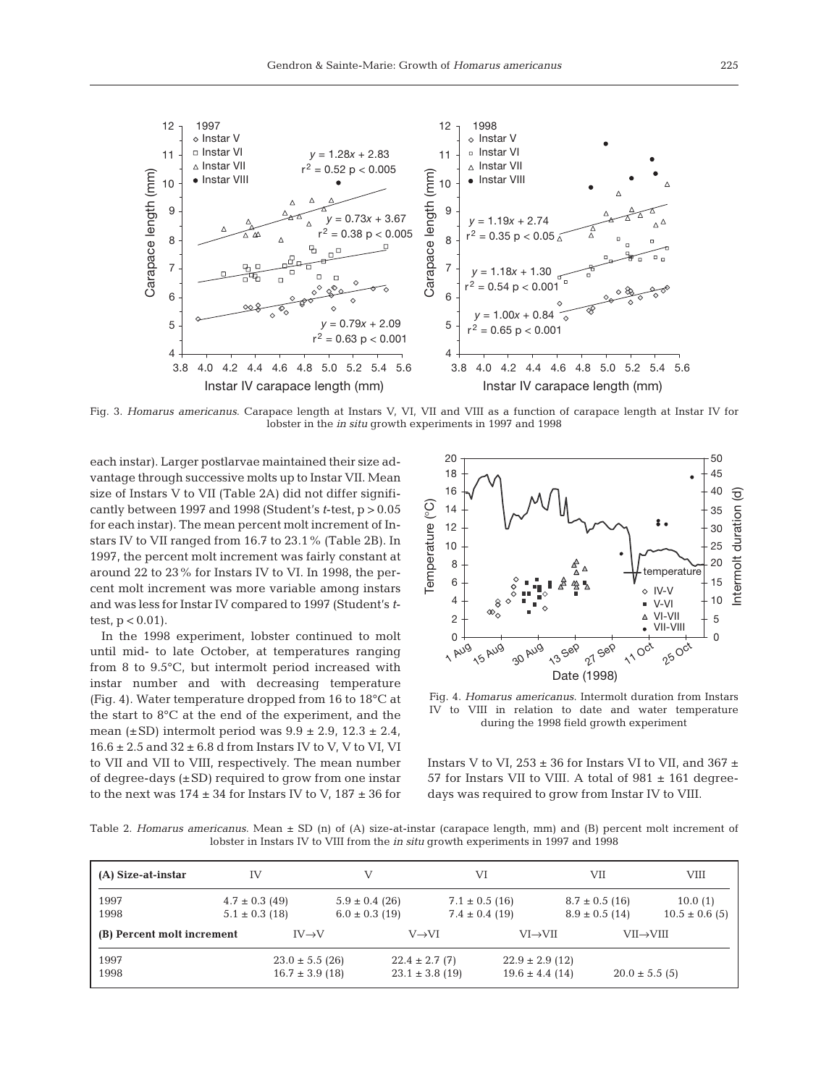

Fig. 3. *Homarus americanus*. Carapace length at Instars V, VI, VII and VIII as a function of carapace length at Instar IV for lobster in the *in situ* growth experiments in 1997 and 1998

each instar). Larger postlarvae maintained their size advantage through successive molts up to Instar VII. Mean size of Instars V to VII (Table 2A) did not differ significantly between 1997 and 1998 (Student's *t*-test, p > 0.05 for each instar). The mean percent molt increment of Instars IV to VII ranged from 16.7 to 23.1% (Table 2B). In 1997, the percent molt increment was fairly constant at around 22 to 23% for Instars IV to VI. In 1998, the percent molt increment was more variable among instars and was less for Instar IV compared to 1997 (Student's *t*test,  $p < 0.01$ ).



Fig. 4. *Homarus americanus*. Intermolt duration from Instars IV to VIII in relation to date and water temperature during the 1998 field growth experiment

Table 2. *Homarus americanus*. Mean ± SD (n) of (A) size-at-instar (carapace length, mm) and (B) percent molt increment of lobster in Instars IV to VIII from the *in situ* growth experiments in 1997 and 1998

| cantly between 1997 and 1998 (Student's $t$ -test, $p > 0.05$<br>for each instar). The mean percent molt increment of In-<br>stars IV to VII ranged from 16.7 to 23.1% (Table 2B). In<br>1997, the percent molt increment was fairly constant at<br>around 22 to 23% for Instars IV to VI. In 1998, the per-<br>cent molt increment was more variable among instars<br>and was less for Instar IV compared to 1997 (Student's t-<br>test, $p < 0.01$ ).<br>In the 1998 experiment, lobster continued to molt<br>until mid- to late October, at temperatures ranging<br>from 8 to 9.5°C, but intermolt period increased with<br>instar number and with decreasing temperature<br>(Fig. 4). Water temperature dropped from 16 to 18°C at<br>the start to 8°C at the end of the experiment, and the<br>mean $(\pm SD)$ intermolt period was $9.9 \pm 2.9$ , $12.3 \pm 2.4$ ,<br>$16.6 \pm 2.5$ and $32 \pm 6.8$ d from Instars IV to V, V to VI, VI<br>to VII and VII to VIII, respectively. The mean number<br>of degree-days $(\pm SD)$ required to grow from one instar<br>to the next was $174 \pm 34$ for Instars IV to V, $187 \pm 36$ for<br>Table 2. Homarus americanus. Mean $\pm$ SD (n) of (A) size-at-instar (carapace length, mm) and (B) percent molt increment of | lobster in Instars IV to VIII from the <i>in situ</i> growth experiments in 1997 and 1998 | <u>ု</u><br>14<br>Temperature<br>12<br>10<br>8<br>6<br>4<br>$\overline{c}$<br>$\Omega$<br>1 Aug | $\infty$<br><b>15 AUG</b><br>30 AUB<br>Fig. 4. Homarus americanus. Intermolt duration from Instars<br>IV to VIII in relation to date and water temperature<br>during the 1998 field growth experiment<br>Instars V to VI, $253 \pm 36$ for Instars VI to VII, and $367 \pm$<br>57 for Instars VII to VIII. A total of $981 \pm 161$ degree-<br>days was required to grow from Instar IV to VIII. | 13 Sep<br>27 Sep<br>Date (1998)          | temperature<br>$\lozenge$ IV-V<br>$\bullet$ V-VI<br>A VI-VII<br>• VII-VIII<br>11 Oct<br>25 Oct | 35<br>30<br>25<br>20<br>15<br>10<br>5<br>$\Omega$ |
|-------------------------------------------------------------------------------------------------------------------------------------------------------------------------------------------------------------------------------------------------------------------------------------------------------------------------------------------------------------------------------------------------------------------------------------------------------------------------------------------------------------------------------------------------------------------------------------------------------------------------------------------------------------------------------------------------------------------------------------------------------------------------------------------------------------------------------------------------------------------------------------------------------------------------------------------------------------------------------------------------------------------------------------------------------------------------------------------------------------------------------------------------------------------------------------------------------------------------------------------------------------------------------|-------------------------------------------------------------------------------------------|-------------------------------------------------------------------------------------------------|--------------------------------------------------------------------------------------------------------------------------------------------------------------------------------------------------------------------------------------------------------------------------------------------------------------------------------------------------------------------------------------------------|------------------------------------------|------------------------------------------------------------------------------------------------|---------------------------------------------------|
| (A) Size-at-instar<br>IV                                                                                                                                                                                                                                                                                                                                                                                                                                                                                                                                                                                                                                                                                                                                                                                                                                                                                                                                                                                                                                                                                                                                                                                                                                                      | V                                                                                         |                                                                                                 | VI                                                                                                                                                                                                                                                                                                                                                                                               | VII                                      | VIII                                                                                           |                                                   |
| 1997<br>$4.7 \pm 0.3$ (49)<br>1998<br>$5.1 \pm 0.3$ (18)                                                                                                                                                                                                                                                                                                                                                                                                                                                                                                                                                                                                                                                                                                                                                                                                                                                                                                                                                                                                                                                                                                                                                                                                                      | $5.9 \pm 0.4$ (26)<br>$6.0 \pm 0.3$ (19)                                                  |                                                                                                 | $7.1 \pm 0.5$ (16)<br>$7.4 \pm 0.4$ (19)                                                                                                                                                                                                                                                                                                                                                         | $8.7 \pm 0.5$ (16)<br>$8.9 \pm 0.5$ (14) | 10.0(1)<br>$10.5 \pm 0.6$ (5)                                                                  |                                                   |
| (B) Percent molt increment                                                                                                                                                                                                                                                                                                                                                                                                                                                                                                                                                                                                                                                                                                                                                                                                                                                                                                                                                                                                                                                                                                                                                                                                                                                    | $IV\rightarrow V$                                                                         | $V\rightarrow VI$                                                                               | $VI \rightarrow VII$                                                                                                                                                                                                                                                                                                                                                                             |                                          | $VII \rightarrow VIII$                                                                         |                                                   |
| 1997<br>1998                                                                                                                                                                                                                                                                                                                                                                                                                                                                                                                                                                                                                                                                                                                                                                                                                                                                                                                                                                                                                                                                                                                                                                                                                                                                  | $23.0 \pm 5.5$ (26)<br>$16.7 \pm 3.9$ (18)                                                | $22.4 \pm 2.7(7)$<br>$23.1 \pm 3.8$ (19)                                                        | $22.9 \pm 2.9$ (12)<br>$19.6 \pm 4.4$ (14)                                                                                                                                                                                                                                                                                                                                                       |                                          | $20.0 \pm 5.5$ (5)                                                                             |                                                   |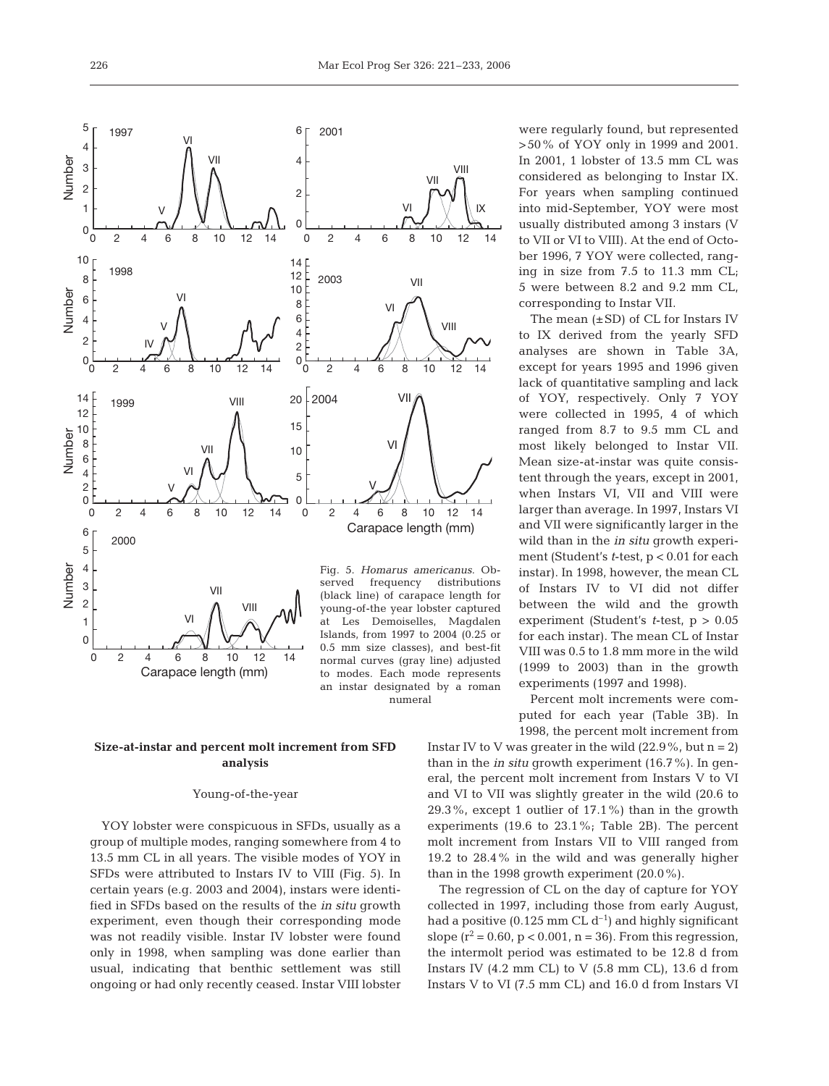numeral



# **Size-at-instar and percent molt increment from SFD analysis**

# Young-of-the-year

YOY lobster were conspicuous in SFDs, usually as a group of multiple modes, ranging somewhere from 4 to 13.5 mm CL in all years. The visible modes of YOY in SFDs were attributed to Instars IV to VIII (Fig. 5). In certain years (e.g. 2003 and 2004), instars were identified in SFDs based on the results of the *in situ* growth experiment, even though their corresponding mode was not readily visible. Instar IV lobster were found only in 1998, when sampling was done earlier than usual, indicating that benthic settlement was still ongoing or had only recently ceased. Instar VIII lobster

were regularly found, but represented >50% of YOY only in 1999 and 2001. In 2001, 1 lobster of 13.5 mm CL was considered as belonging to Instar IX. For years when sampling continued into mid-September, YOY were most usually distributed among 3 instars (V to VII or VI to VIII). At the end of October 1996, 7 YOY were collected, ranging in size from 7.5 to 11.3 mm CL; 5 were between 8.2 and 9.2 mm CL, corresponding to Instar VII.

The mean  $(\pm SD)$  of CL for Instars IV to IX derived from the yearly SFD analyses are shown in Table 3A, except for years 1995 and 1996 given lack of quantitative sampling and lack of YOY, respectively. Only 7 YOY were collected in 1995, 4 of which ranged from 8.7 to 9.5 mm CL and most likely belonged to Instar VII. Mean size-at-instar was quite consistent through the years, except in 2001, when Instars VI, VII and VIII were larger than average. In 1997, Instars VI and VII were significantly larger in the wild than in the *in situ* growth experiment (Student's *t*-test, p < 0.01 for each instar). In 1998, however, the mean CL of Instars IV to VI did not differ between the wild and the growth experiment (Student's *t*-test, p > 0.05 for each instar). The mean CL of Instar VIII was 0.5 to 1.8 mm more in the wild (1999 to 2003) than in the growth experiments (1997 and 1998).

Percent molt increments were computed for each year (Table 3B). In 1998, the percent molt increment from

Instar IV to V was greater in the wild  $(22.9\%$ , but  $n = 2)$ than in the *in situ* growth experiment (16.7%). In general, the percent molt increment from Instars V to VI and VI to VII was slightly greater in the wild (20.6 to 29.3%, except 1 outlier of 17.1%) than in the growth experiments (19.6 to 23.1%; Table 2B). The percent molt increment from Instars VII to VIII ranged from 19.2 to 28.4% in the wild and was generally higher than in the 1998 growth experiment (20.0%).

The regression of CL on the day of capture for YOY collected in 1997, including those from early August, had a positive (0.125 mm CL  $d^{-1}$ ) and highly significant slope  $(r^2 = 0.60, p < 0.001, n = 36)$ . From this regression, the intermolt period was estimated to be 12.8 d from Instars IV  $(4.2 \text{ mm CL})$  to V  $(5.8 \text{ mm CL})$ , 13.6 d from Instars V to VI (7.5 mm CL) and 16.0 d from Instars VI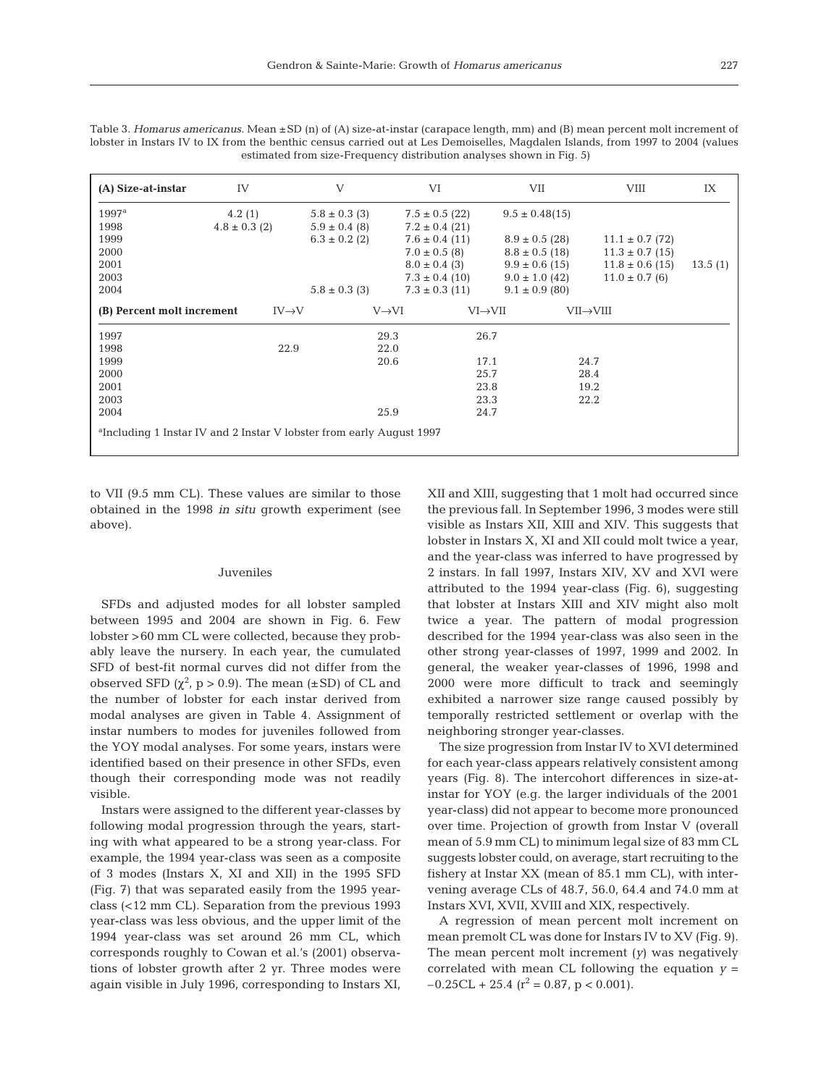| (A) Size-at-instar                                                               | <b>IV</b>         | V                  | VI                   | VII                | VIII                | IX      |  |
|----------------------------------------------------------------------------------|-------------------|--------------------|----------------------|--------------------|---------------------|---------|--|
| $1997^{\rm a}$                                                                   | 4.2(1)            | $5.8 \pm 0.3$ (3)  | $7.5 \pm 0.5$ (22)   | $9.5 \pm 0.48(15)$ |                     |         |  |
| 1998                                                                             | $4.8 \pm 0.3$ (2) | $5.9 \pm 0.4$ (8)  | $7.2 \pm 0.4$ (21)   |                    |                     |         |  |
| 1999                                                                             |                   | $6.3 \pm 0.2$ (2)  | $7.6 \pm 0.4$ (11)   | $8.9 \pm 0.5$ (28) | $11.1 \pm 0.7$ (72) |         |  |
| 2000                                                                             |                   |                    | $7.0 \pm 0.5$ (8)    | $8.8 \pm 0.5$ (18) | $11.3 \pm 0.7$ (15) |         |  |
| 2001                                                                             |                   |                    | $8.0 \pm 0.4$ (3)    | $9.9 \pm 0.6$ (15) | $11.8 \pm 0.6$ (15) | 13.5(1) |  |
| 2003                                                                             |                   |                    | $7.3 \pm 0.4$ (10)   | $9.0 \pm 1.0$ (42) | $11.0 \pm 0.7$ (6)  |         |  |
| 2004                                                                             |                   | $5.8 \pm 0.3$ (3)  | $7.3 \pm 0.3$ (11)   | $9.1 \pm 0.9$ (80) |                     |         |  |
| (B) Percent molt increment                                                       | $IV\rightarrow V$ | $V\rightarrow V$ I | $VI \rightarrow VII$ |                    | VII→VIII            |         |  |
| 1997                                                                             |                   | 29.3               | 26.7                 |                    |                     |         |  |
| 1998                                                                             | 22.9              | 22.0               |                      |                    |                     |         |  |
| 1999                                                                             |                   | 20.6               | 17.1                 |                    | 24.7                |         |  |
| 2000                                                                             |                   |                    | 25.7                 |                    | 28.4                |         |  |
| 2001                                                                             |                   |                    | 23.8                 |                    | 19.2                |         |  |
| 2003                                                                             |                   |                    | 23.3                 |                    | 22.2                |         |  |
| 2004                                                                             |                   | 25.9               | 24.7                 |                    |                     |         |  |
| <sup>a</sup> Including 1 Instar IV and 2 Instar V lobster from early August 1997 |                   |                    |                      |                    |                     |         |  |

Table 3. *Homarus americanus*. Mean ±SD (n) of (A) size-at-instar (carapace length, mm) and (B) mean percent molt increment of lobster in Instars IV to IX from the benthic census carried out at Les Demoiselles, Magdalen Islands, from 1997 to 2004 (values estimated from size-Frequency distribution analyses shown in Fig. 5)

to VII (9.5 mm CL). These values are similar to those obtained in the 1998 *in situ* growth experiment (see above).

#### Juveniles

SFDs and adjusted modes for all lobster sampled between 1995 and 2004 are shown in Fig. 6. Few lobster >60 mm CL were collected, because they probably leave the nursery. In each year, the cumulated SFD of best-fit normal curves did not differ from the observed SFD  $(\chi^2, p > 0.9)$ . The mean (±SD) of CL and the number of lobster for each instar derived from modal analyses are given in Table 4. Assignment of instar numbers to modes for juveniles followed from the YOY modal analyses. For some years, instars were identified based on their presence in other SFDs, even though their corresponding mode was not readily visible.

Instars were assigned to the different year-classes by following modal progression through the years, starting with what appeared to be a strong year-class. For example, the 1994 year-class was seen as a composite of 3 modes (Instars X, XI and XII) in the 1995 SFD (Fig. 7) that was separated easily from the 1995 yearclass (<12 mm CL). Separation from the previous 1993 year-class was less obvious, and the upper limit of the 1994 year-class was set around 26 mm CL, which corresponds roughly to Cowan et al.'s (2001) observations of lobster growth after 2 yr. Three modes were again visible in July 1996, corresponding to Instars XI,

XII and XIII, suggesting that 1 molt had occurred since the previous fall. In September 1996, 3 modes were still visible as Instars XII, XIII and XIV. This suggests that lobster in Instars X, XI and XII could molt twice a year, and the year-class was inferred to have progressed by 2 instars. In fall 1997, Instars XIV, XV and XVI were attributed to the 1994 year-class (Fig. 6), suggesting that lobster at Instars XIII and XIV might also molt twice a year. The pattern of modal progression described for the 1994 year-class was also seen in the other strong year-classes of 1997, 1999 and 2002. In general, the weaker year-classes of 1996, 1998 and 2000 were more difficult to track and seemingly exhibited a narrower size range caused possibly by temporally restricted settlement or overlap with the neighboring stronger year-classes.

The size progression from Instar IV to XVI determined for each year-class appears relatively consistent among years (Fig. 8). The intercohort differences in size-atinstar for YOY (e.g. the larger individuals of the 2001 year-class) did not appear to become more pronounced over time. Projection of growth from Instar V (overall mean of 5.9 mm CL) to minimum legal size of 83 mm CL suggests lobster could, on average, start recruiting to the fishery at Instar XX (mean of 85.1 mm CL), with intervening average CLs of 48.7, 56.0, 64.4 and 74.0 mm at Instars XVI, XVII, XVIII and XIX, respectively.

A regression of mean percent molt increment on mean premolt CL was done for Instars IV to XV (Fig. 9). The mean percent molt increment (*y*) was negatively correlated with mean CL following the equation  $y =$  $-0.25CL + 25.4$  ( $r^2 = 0.87$ ,  $p < 0.001$ ).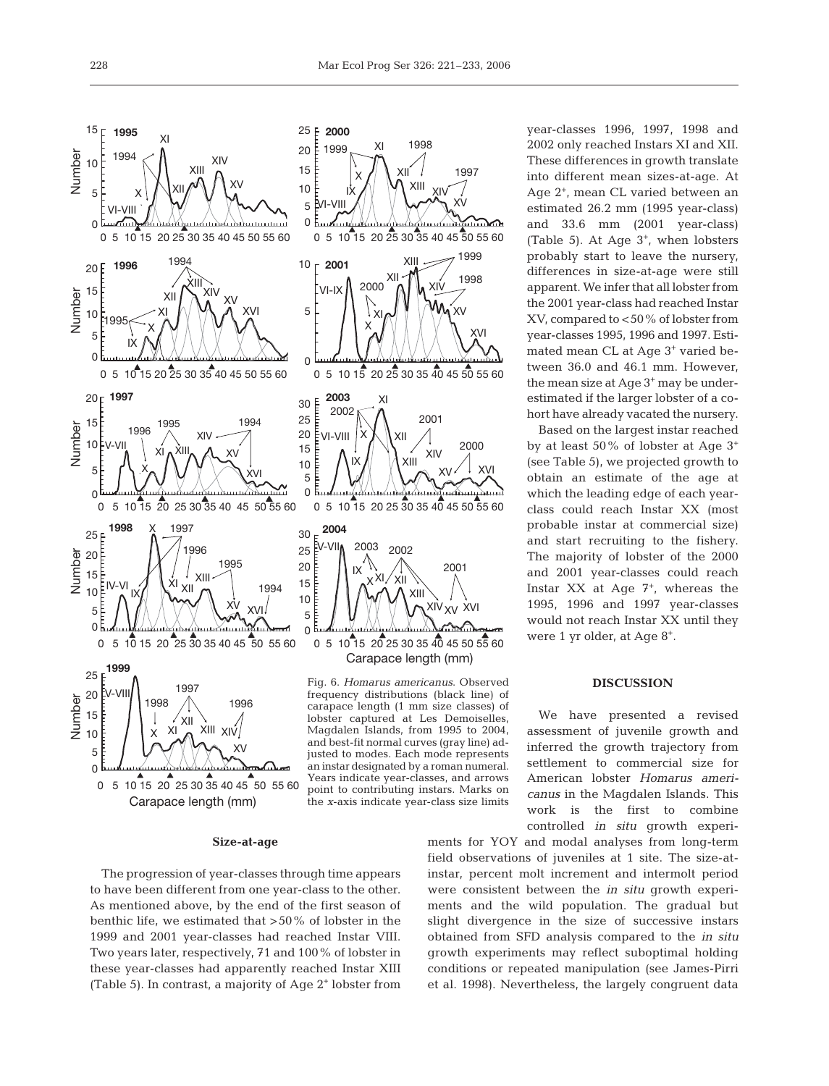point to contributing instars. Marks on the *x*-axis indicate year-class size limits



 $\overline{0}$  5 10 15 20 25 30 35 40 45 50 55 60 Carapace length (mm)

#### **Size-at-age**

The progression of year-classes through time appears to have been different from one year-class to the other. As mentioned above, by the end of the first season of benthic life, we estimated that >50% of lobster in the 1999 and 2001 year-classes had reached Instar VIII. Two years later, respectively, 71 and 100% of lobster in these year-classes had apparently reached Instar XIII (Table 5). In contrast, a majority of Age 2+ lobster from year-classes 1996, 1997, 1998 and 2002 only reached Instars XI and XII. These differences in growth translate into different mean sizes-at-age. At Age 2+, mean CL varied between an estimated 26.2 mm (1995 year-class) and 33.6 mm (2001 year-class) (Table 5). At Age  $3^+$ , when lobsters probably start to leave the nursery, differences in size-at-age were still apparent. We infer that all lobster from the 2001 year-class had reached Instar XV, compared to <50% of lobster from year-classes 1995, 1996 and 1997. Estimated mean CL at Age 3+ varied between 36.0 and 46.1 mm. However, the mean size at Age 3<sup>+</sup> may be underestimated if the larger lobster of a cohort have already vacated the nursery.

Based on the largest instar reached by at least 50% of lobster at Age 3+ (see Table 5), we projected growth to obtain an estimate of the age at which the leading edge of each yearclass could reach Instar XX (most probable instar at commercial size) and start recruiting to the fishery. The majority of lobster of the 2000 and 2001 year-classes could reach Instar  $XX$  at Age  $7^+$ , whereas the 1995, 1996 and 1997 year-classes would not reach Instar XX until they were 1 yr older, at Age 8+.

#### **DISCUSSION**

We have presented a revised assessment of juvenile growth and inferred the growth trajectory from settlement to commercial size for American lobster *Homarus americanus* in the Magdalen Islands. This work is the first to combine controlled *in situ* growth experi-

ments for YOY and modal analyses from long-term field observations of juveniles at 1 site. The size-atinstar, percent molt increment and intermolt period were consistent between the *in situ* growth experiments and the wild population. The gradual but slight divergence in the size of successive instars obtained from SFD analysis compared to the *in situ* growth experiments may reflect suboptimal holding conditions or repeated manipulation (see James-Pirri et al. 1998). Nevertheless, the largely congruent data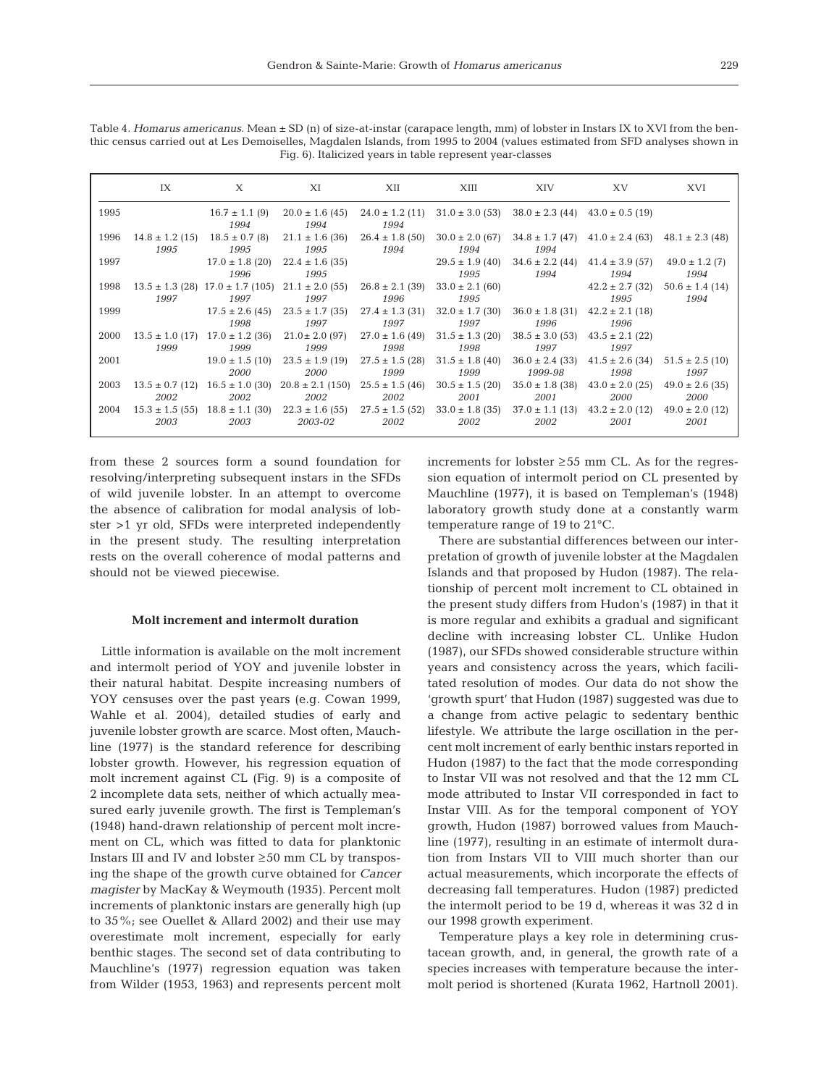229

Table 4. *Homarus americanus*. Mean ± SD (n) of size-at-instar (carapace length, mm) of lobster in Instars IX to XVI from the benthic census carried out at Les Demoiselles, Magdalen Islands, from 1995 to 2004 (values estimated from SFD analyses shown in Fig. 6). Italicized years in table represent year-classes

|      | IX                          | $\mathbf{X}$                                    | XI                                                                                         | XII                         | XIII                        | XIV                                                                                     | XV.                                             | XVI                                             |
|------|-----------------------------|-------------------------------------------------|--------------------------------------------------------------------------------------------|-----------------------------|-----------------------------|-----------------------------------------------------------------------------------------|-------------------------------------------------|-------------------------------------------------|
| 1995 |                             | $16.7 \pm 1.1$ (9)<br>1994                      | $20.0 \pm 1.6$ (45)<br>1994                                                                | $24.0 \pm 1.2$ (11)<br>1994 |                             | $31.0 \pm 3.0$ (53) $38.0 \pm 2.3$ (44) $43.0 \pm 0.5$ (19)                             |                                                 |                                                 |
| 1996 | $14.8 \pm 1.2$ (15)<br>1995 | $18.5 \pm 0.7$ (8)<br>1995                      | $21.1 \pm 1.6$ (36) $26.4 \pm 1.8$ (50)<br>1995                                            | 1994                        | 1994                        | $30.0 \pm 2.0$ (67) $34.8 \pm 1.7$ (47) $41.0 \pm 2.4$ (63) $48.1 \pm 2.3$ (48)<br>1994 |                                                 |                                                 |
| 1997 |                             | $17.0 \pm 1.8$ (20)<br>1996                     | $22.4 \pm 1.6$ (35)<br>1995                                                                |                             | $29.5 \pm 1.9$ (40)<br>1995 | 1994                                                                                    | $34.6 \pm 2.2$ (44) $41.4 \pm 3.9$ (57)<br>1994 | $49.0 \pm 1.2$ (7)<br>1994                      |
| 1998 | 1997                        | 1997                                            | $13.5 \pm 1.3$ (28) $17.0 \pm 1.7$ (105) $21.1 \pm 2.0$ (55)<br>1997                       | $26.8 \pm 2.1$ (39)<br>1996 | $33.0 \pm 2.1$ (60)<br>1995 |                                                                                         | 1995                                            | $42.2 \pm 2.7$ (32) $50.6 \pm 1.4$ (14)<br>1994 |
| 1999 |                             | 1998                                            | $17.5 \pm 2.6$ (45) $23.5 \pm 1.7$ (35)<br>1997                                            | $27.4 \pm 1.3$ (31)<br>1997 | $32.0 \pm 1.7$ (30)<br>1997 | $36.0 \pm 1.8$ (31)<br>1996                                                             | $42.2 \pm 2.1$ (18)<br>1996                     |                                                 |
| 2000 | 1999                        | 1999                                            | $13.5 \pm 1.0$ (17) $17.0 \pm 1.2$ (36) $21.0 \pm 2.0$ (97) $27.0 \pm 1.6$ (49)<br>1999    | 1998                        | $31.5 \pm 1.3$ (20)<br>1998 | $38.5 \pm 3.0$ (53)<br>1997                                                             | $43.5 \pm 2.1$ (22)<br>1997                     |                                                 |
| 2001 |                             | $19.0 \pm 1.5$ (10)<br>2000                     | $23.5 \pm 1.9$ (19)<br>2000                                                                | $27.5 \pm 1.5$ (28)<br>1999 | $31.5 \pm 1.8$ (40)<br>1999 | $36.0 \pm 2.4$ (33)<br>1999-98                                                          | $41.5 \pm 2.6$ (34)<br>1998                     | $51.5 \pm 2.5$ (10)<br>1997                     |
| 2003 | 2002                        | $13.5 \pm 0.7$ (12) $16.5 \pm 1.0$ (30)<br>2002 | $20.8 \pm 2.1$ (150) $25.5 \pm 1.5$ (46)<br>2002                                           | 2002                        | $30.5 \pm 1.5$ (20)<br>2001 | $35.0 \pm 1.8$ (38)<br>2001                                                             | 2000                                            | $43.0 \pm 2.0$ (25) $49.0 \pm 2.6$ (35)<br>2000 |
| 2004 | 2003                        | 2003                                            | $15.3 \pm 1.5$ (55) $18.8 \pm 1.1$ (30) $22.3 \pm 1.6$ (55) $27.5 \pm 1.5$ (52)<br>2003-02 | 2002                        | $33.0 \pm 1.8$ (35)<br>2002 | $37.0 \pm 1.1$ (13)<br>2002                                                             | $43.2 \pm 2.0$ (12) $49.0 \pm 2.0$ (12)<br>2001 | 2001                                            |

from these 2 sources form a sound foundation for resolving/interpreting subsequent instars in the SFDs of wild juvenile lobster. In an attempt to overcome the absence of calibration for modal analysis of lobster >1 yr old, SFDs were interpreted independently in the present study. The resulting interpretation rests on the overall coherence of modal patterns and should not be viewed piecewise.

#### **Molt increment and intermolt duration**

Little information is available on the molt increment and intermolt period of YOY and juvenile lobster in their natural habitat. Despite increasing numbers of YOY censuses over the past years (e.g. Cowan 1999, Wahle et al. 2004), detailed studies of early and juvenile lobster growth are scarce. Most often, Mauchline (1977) is the standard reference for describing lobster growth. However, his regression equation of molt increment against CL (Fig. 9) is a composite of 2 incomplete data sets, neither of which actually measured early juvenile growth. The first is Templeman's (1948) hand-drawn relationship of percent molt increment on CL, which was fitted to data for planktonic Instars III and IV and lobster ≥50 mm CL by transposing the shape of the growth curve obtained for *Cancer magister* by MacKay & Weymouth (1935). Percent molt increments of planktonic instars are generally high (up to 35%; see Ouellet & Allard 2002) and their use may overestimate molt increment, especially for early benthic stages. The second set of data contributing to Mauchline's (1977) regression equation was taken from Wilder (1953, 1963) and represents percent molt

increments for lobster ≥55 mm CL. As for the regression equation of intermolt period on CL presented by Mauchline (1977), it is based on Templeman's (1948) laboratory growth study done at a constantly warm temperature range of 19 to 21°C.

There are substantial differences between our interpretation of growth of juvenile lobster at the Magdalen Islands and that proposed by Hudon (1987). The relationship of percent molt increment to CL obtained in the present study differs from Hudon's (1987) in that it is more regular and exhibits a gradual and significant decline with increasing lobster CL. Unlike Hudon (1987), our SFDs showed considerable structure within years and consistency across the years, which facilitated resolution of modes. Our data do not show the 'growth spurt' that Hudon (1987) suggested was due to a change from active pelagic to sedentary benthic lifestyle. We attribute the large oscillation in the percent molt increment of early benthic instars reported in Hudon (1987) to the fact that the mode corresponding to Instar VII was not resolved and that the 12 mm CL mode attributed to Instar VII corresponded in fact to Instar VIII. As for the temporal component of YOY growth, Hudon (1987) borrowed values from Mauchline (1977), resulting in an estimate of intermolt duration from Instars VII to VIII much shorter than our actual measurements, which incorporate the effects of decreasing fall temperatures. Hudon (1987) predicted the intermolt period to be 19 d, whereas it was 32 d in our 1998 growth experiment.

Temperature plays a key role in determining crustacean growth, and, in general, the growth rate of a species increases with temperature because the intermolt period is shortened (Kurata 1962, Hartnoll 2001).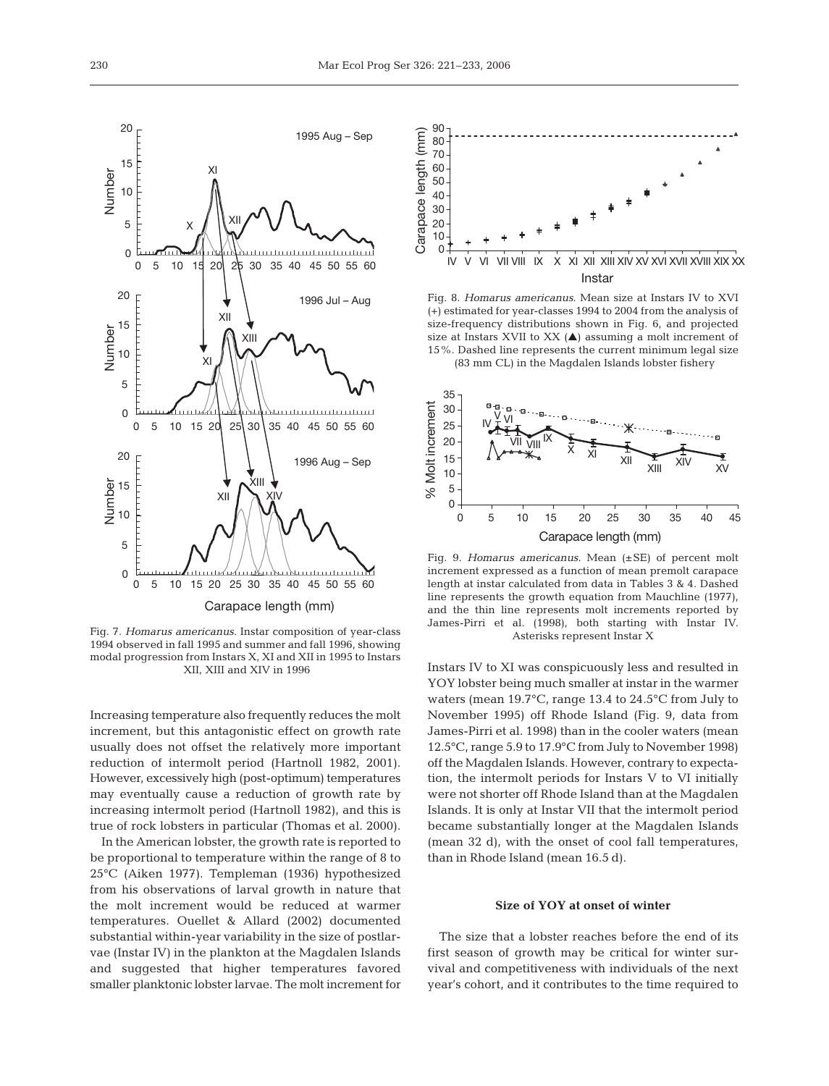

Fig. 7. *Homarus americanus*. Instar composition of year-class 1994 observed in fall 1995 and summer and fall 1996, showing modal progression from Instars X, XI and XII in 1995 to Instars XII, XIII and XIV in 1996

Increasing temperature also frequently reduces the molt increment, but this antagonistic effect on growth rate usually does not offset the relatively more important reduction of intermolt period (Hartnoll 1982, 2001). However, excessively high (post-optimum) temperatures may eventually cause a reduction of growth rate by increasing intermolt period (Hartnoll 1982), and this is true of rock lobsters in particular (Thomas et al. 2000).

In the American lobster, the growth rate is reported to be proportional to temperature within the range of 8 to 25°C (Aiken 1977). Templeman (1936) hypothesized from his observations of larval growth in nature that the molt increment would be reduced at warmer temperatures. Ouellet & Allard (2002) documented substantial within-year variability in the size of postlarvae (Instar IV) in the plankton at the Magdalen Islands and suggested that higher temperatures favored smaller planktonic lobster larvae. The molt increment for



Fig. 8. *Homarus americanus*. Mean size at Instars IV to XVI (+) estimated for year-classes 1994 to 2004 from the analysis of size-frequency distributions shown in Fig. 6, and projected size at Instars XVII to XX  $($  $\blacktriangle)$  assuming a molt increment of 15%. Dashed line represents the current minimum legal size (83 mm CL) in the Magdalen Islands lobster fishery



Fig. 9. *Homarus americanus*. Mean (±SE) of percent molt increment expressed as a function of mean premolt carapace length at instar calculated from data in Tables 3 & 4. Dashed line represents the growth equation from Mauchline (1977), and the thin line represents molt increments reported by James-Pirri et al. (1998), both starting with Instar IV. Asterisks represent Instar X

Instars IV to XI was conspicuously less and resulted in YOY lobster being much smaller at instar in the warmer waters (mean 19.7°C, range 13.4 to 24.5°C from July to November 1995) off Rhode Island (Fig. 9, data from James-Pirri et al. 1998) than in the cooler waters (mean 12.5°C, range 5.9 to 17.9°C from July to November 1998) off the Magdalen Islands. However, contrary to expectation, the intermolt periods for Instars V to VI initially were not shorter off Rhode Island than at the Magdalen Islands. It is only at Instar VII that the intermolt period became substantially longer at the Magdalen Islands (mean 32 d), with the onset of cool fall temperatures, than in Rhode Island (mean 16.5 d).

# **Size of YOY at onset of winter**

The size that a lobster reaches before the end of its first season of growth may be critical for winter survival and competitiveness with individuals of the next year's cohort, and it contributes to the time required to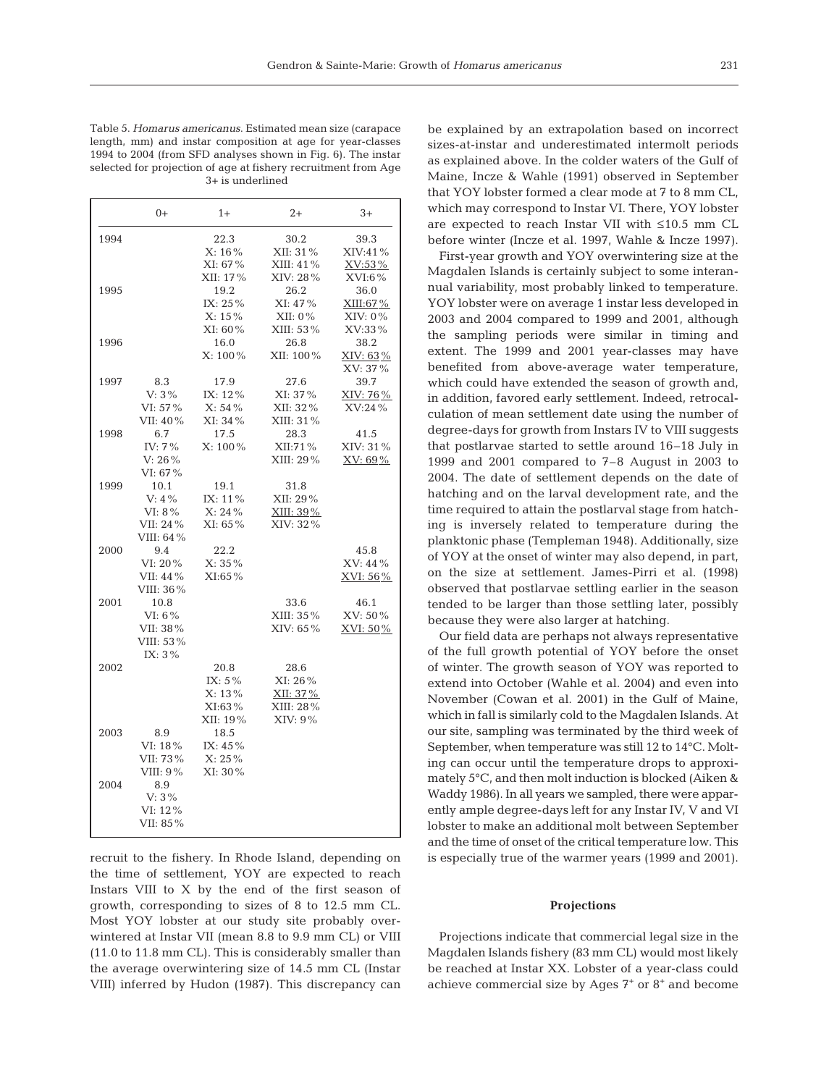231

Table 5. *Homarus americanus*. Estimated mean size (carapace length, mm) and instar composition at age for year-classes 1994 to 2004 (from SFD analyses shown in Fig. 6). The instar selected for projection of age at fishery recruitment from Age 3+ is underlined

|      | $0+$        | $1+$       | $2+$         | $3+$       |
|------|-------------|------------|--------------|------------|
| 1994 |             | 22.3       | 30.2         | 39.3       |
|      |             | X: 16%     | XII: 31%     | XIV:41%    |
|      |             | XI: 67%    | $XIII: 41\%$ | XV:53%     |
|      |             | XII: 17%   | XIV: 28%     | $XVI:6\%$  |
| 1995 |             | 19.2       | 26.2         | 36.0       |
|      |             | $IX: 25\%$ | $XI: 47\%$   | XIII:67%   |
|      |             | $X: 15\%$  | $XII: 0\%$   | $XIV: 0\%$ |
|      |             | $XI: 60\%$ | XIII: 53%    | XV:33%     |
| 1996 |             | 16.0       | 26.8         | 38.2       |
|      |             | $X: 100\%$ | XII: 100%    | XIV: 63%   |
|      |             |            |              | XV: 37%    |
| 1997 | 8.3         | 17.9       | 27.6         | 39.7       |
|      | $V: 3\%$    | IX: 12%    | XI: 37%      | XIV: 76%   |
|      | VI: 57%     | $X: 54\%$  | XII: 32%     | XV:24 %    |
|      | VII: 40%    | XI: 34 %   | XIII: 31%    |            |
| 1998 | 6.7         | 17.5       | 28.3         | 41.5       |
|      | IV: 7%      | $X: 100\%$ | XII:71%      | XIV: 31%   |
|      | $V: 26\%$   |            | $XIII: 29\%$ | XV: 69%    |
|      | VI: 67%     |            |              |            |
| 1999 | 10.1        | 19.1       | 31.8         |            |
|      | $V: 4\%$    | IX: 11%    | XII: 29%     |            |
|      | VI: $8\%$   | X: 24%     | XIII: 39%    |            |
|      | VII: 24 %   | XI: 65%    | XIV: 32%     |            |
|      | VIII: 64%   |            |              |            |
| 2000 | 9.4         | 22.2       |              | 45.8       |
|      | $VI: 20\%$  | $X: 35\%$  |              | XV: 44%    |
|      | VII: 44 %   | $XI:65\%$  |              | XVI: 56 %  |
|      | VIII: 36%   |            |              |            |
| 2001 | 10.8        |            | 33.6         | 46.1       |
|      | $VI: 6\%$   |            | XIII: 35 %   | XV: 50%    |
|      | VII: 38%    |            | XIV: 65%     | XVI: 50%   |
|      | VIII: 53%   |            |              |            |
|      | IX: $3\%$   |            |              |            |
| 2002 |             | 20.8       | 28.6         |            |
|      |             | IX: $5\%$  | XI: 26%      |            |
|      |             | X: 13%     | XII: 37 %    |            |
|      |             | XI:63%     | XIII: 28%    |            |
|      |             | XII: 19%   | XIV: 9%      |            |
| 2003 | 8.9         | 18.5       |              |            |
|      | VI: $18\%$  | IX: $45%$  |              |            |
|      | VII: 73 %   | $X: 25\%$  |              |            |
|      | VIII: $9\%$ | XI: 30%    |              |            |
| 2004 | 8.9         |            |              |            |
|      | $V: 3\%$    |            |              |            |
|      | VI: 12%     |            |              |            |
|      | VII: 85%    |            |              |            |
|      |             |            |              |            |

recruit to the fishery. In Rhode Island, depending on the time of settlement, YOY are expected to reach Instars VIII to X by the end of the first season of growth, corresponding to sizes of 8 to 12.5 mm CL. Most YOY lobster at our study site probably overwintered at Instar VII (mean 8.8 to 9.9 mm CL) or VIII (11.0 to 11.8 mm CL). This is considerably smaller than the average overwintering size of 14.5 mm CL (Instar VIII) inferred by Hudon (1987). This discrepancy can

be explained by an extrapolation based on incorrect sizes-at-instar and underestimated intermolt periods as explained above. In the colder waters of the Gulf of Maine, Incze & Wahle (1991) observed in September that YOY lobster formed a clear mode at 7 to 8 mm CL, which may correspond to Instar VI. There, YOY lobster are expected to reach Instar VII with ≤10.5 mm CL before winter (Incze et al. 1997, Wahle & Incze 1997).

First-year growth and YOY overwintering size at the Magdalen Islands is certainly subject to some interannual variability, most probably linked to temperature. YOY lobster were on average 1 instar less developed in 2003 and 2004 compared to 1999 and 2001, although the sampling periods were similar in timing and extent. The 1999 and 2001 year-classes may have benefited from above-average water temperature, which could have extended the season of growth and, in addition, favored early settlement. Indeed, retrocalculation of mean settlement date using the number of degree-days for growth from Instars IV to VIII suggests that postlarvae started to settle around 16–18 July in 1999 and 2001 compared to 7–8 August in 2003 to 2004. The date of settlement depends on the date of hatching and on the larval development rate, and the time required to attain the postlarval stage from hatching is inversely related to temperature during the planktonic phase (Templeman 1948). Additionally, size of YOY at the onset of winter may also depend, in part, on the size at settlement. James-Pirri et al. (1998) observed that postlarvae settling earlier in the season tended to be larger than those settling later, possibly because they were also larger at hatching.

Our field data are perhaps not always representative of the full growth potential of YOY before the onset of winter. The growth season of YOY was reported to extend into October (Wahle et al. 2004) and even into November (Cowan et al. 2001) in the Gulf of Maine, which in fall is similarly cold to the Magdalen Islands. At our site, sampling was terminated by the third week of September, when temperature was still 12 to 14°C. Molting can occur until the temperature drops to approximately 5°C, and then molt induction is blocked (Aiken & Waddy 1986). In all years we sampled, there were apparently ample degree-days left for any Instar IV, V and VI lobster to make an additional molt between September and the time of onset of the critical temperature low. This is especially true of the warmer years (1999 and 2001).

#### **Projections**

Projections indicate that commercial legal size in the Magdalen Islands fishery (83 mm CL) would most likely be reached at Instar XX. Lobster of a year-class could achieve commercial size by Ages  $7^*$  or  $8^*$  and become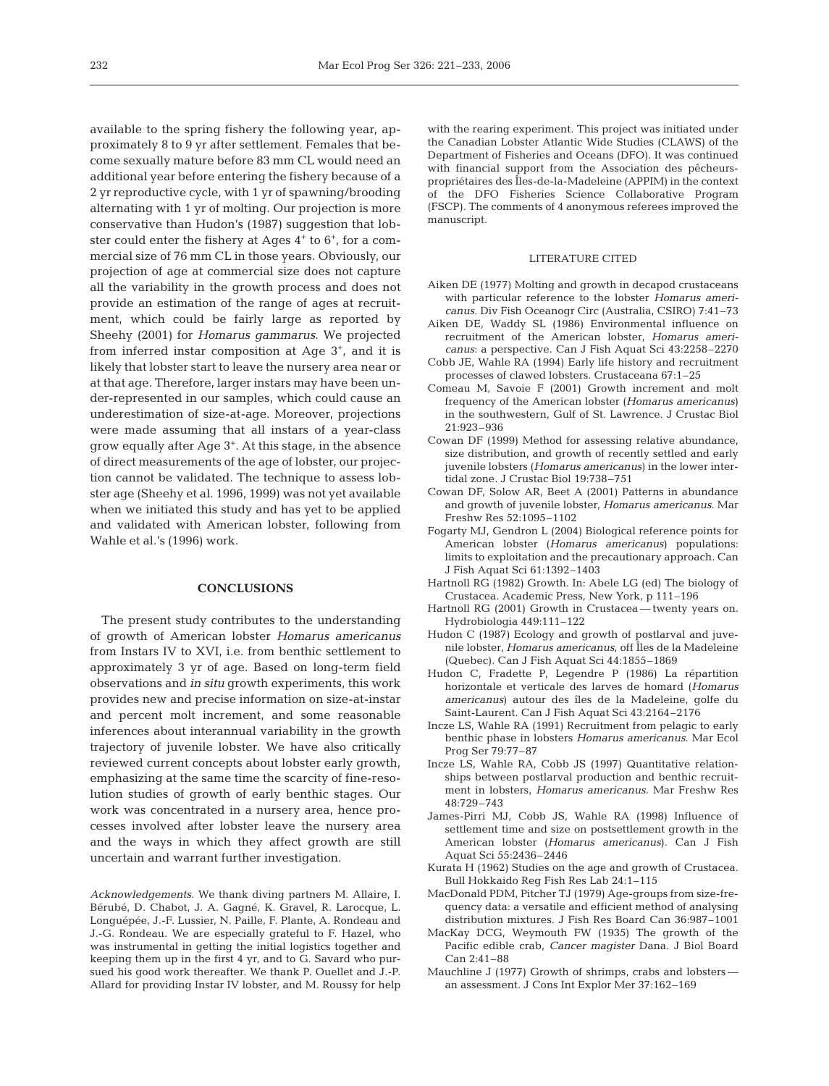available to the spring fishery the following year, approximately 8 to 9 yr after settlement. Females that become sexually mature before 83 mm CL would need an additional year before entering the fishery because of a 2 yr reproductive cycle, with 1 yr of spawning/brooding alternating with 1 yr of molting. Our projection is more conservative than Hudon's (1987) suggestion that lobster could enter the fishery at Ages  $4^+$  to  $6^+$ , for a commercial size of 76 mm CL in those years. Obviously, our projection of age at commercial size does not capture all the variability in the growth process and does not provide an estimation of the range of ages at recruitment, which could be fairly large as reported by Sheehy (2001) for *Homarus gammarus*. We projected from inferred instar composition at Age 3+, and it is likely that lobster start to leave the nursery area near or at that age. Therefore, larger instars may have been under-represented in our samples, which could cause an underestimation of size-at-age. Moreover, projections were made assuming that all instars of a year-class grow equally after Age 3+. At this stage, in the absence of direct measurements of the age of lobster, our projection cannot be validated. The technique to assess lobster age (Sheehy et al. 1996, 1999) was not yet available when we initiated this study and has yet to be applied and validated with American lobster, following from Wahle et al.'s (1996) work.

#### **CONCLUSIONS**

The present study contributes to the understanding of growth of American lobster *Homarus americanus* from Instars IV to XVI, i.e. from benthic settlement to approximately 3 yr of age. Based on long-term field observations and *in situ* growth experiments, this work provides new and precise information on size-at-instar and percent molt increment, and some reasonable inferences about interannual variability in the growth trajectory of juvenile lobster. We have also critically reviewed current concepts about lobster early growth, emphasizing at the same time the scarcity of fine-resolution studies of growth of early benthic stages. Our work was concentrated in a nursery area, hence processes involved after lobster leave the nursery area and the ways in which they affect growth are still uncertain and warrant further investigation.

*Acknowledgements.* We thank diving partners M. Allaire, I. Bérubé, D. Chabot, J. A. Gagné, K. Gravel, R. Larocque, L. Longuépée, J.-F. Lussier, N. Paille, F. Plante, A. Rondeau and J.-G. Rondeau. We are especially grateful to F. Hazel, who was instrumental in getting the initial logistics together and keeping them up in the first 4 yr, and to G. Savard who pursued his good work thereafter. We thank P. Ouellet and J.-P. Allard for providing Instar IV lobster, and M. Roussy for help

with the rearing experiment. This project was initiated under the Canadian Lobster Atlantic Wide Studies (CLAWS) of the Department of Fisheries and Oceans (DFO). It was continued with financial support from the Association des pêcheurspropriétaires des Îles-de-la-Madeleine (APPIM) in the context of the DFO Fisheries Science Collaborative Program (FSCP). The comments of 4 anonymous referees improved the manuscript.

#### LITERATURE CITED

- Aiken DE (1977) Molting and growth in decapod crustaceans with particular reference to the lobster *Homarus americanus*. Div Fish Oceanogr Circ (Australia, CSIRO) 7:41–73
- Aiken DE, Waddy SL (1986) Environmental influence on recruitment of the American lobster, *Homarus americanus*: a perspective. Can J Fish Aquat Sci 43:2258–2270
- Cobb JE, Wahle RA (1994) Early life history and recruitment processes of clawed lobsters. Crustaceana 67:1–25
- Comeau M, Savoie F (2001) Growth increment and molt frequency of the American lobster (*Homarus americanus*) in the southwestern, Gulf of St. Lawrence. J Crustac Biol 21:923–936
- Cowan DF (1999) Method for assessing relative abundance, size distribution, and growth of recently settled and early juvenile lobsters (*Homarus americanus*) in the lower intertidal zone. J Crustac Biol 19:738–751
- Cowan DF, Solow AR, Beet A (2001) Patterns in abundance and growth of juvenile lobster, *Homarus americanus*. Mar Freshw Res 52:1095–1102
- Fogarty MJ, Gendron L (2004) Biological reference points for American lobster (*Homarus americanus*) populations: limits to exploitation and the precautionary approach. Can J Fish Aquat Sci 61:1392–1403
- Hartnoll RG (1982) Growth. In: Abele LG (ed) The biology of Crustacea. Academic Press, New York, p 111–196
- Hartnoll RG (2001) Growth in Crustacea twenty years on. Hydrobiologia 449:111–122
- Hudon C (1987) Ecology and growth of postlarval and juvenile lobster, *Homarus americanus*, off Îles de la Madeleine (Quebec). Can J Fish Aquat Sci 44:1855–1869
- Hudon C, Fradette P, Legendre P (1986) La répartition horizontale et verticale des larves de homard (*Homarus americanus*) autour des îles de la Madeleine, golfe du Saint-Laurent. Can J Fish Aquat Sci 43:2164–2176
- Incze LS, Wahle RA (1991) Recruitment from pelagic to early benthic phase in lobsters *Homarus americanus*. Mar Ecol Prog Ser 79:77–87
- Incze LS, Wahle RA, Cobb JS (1997) Quantitative relationships between postlarval production and benthic recruitment in lobsters, *Homarus americanus*. Mar Freshw Res 48:729–743
- James-Pirri MJ, Cobb JS, Wahle RA (1998) Influence of settlement time and size on postsettlement growth in the American lobster (*Homarus americanus*). Can J Fish Aquat Sci 55:2436–2446
- Kurata H (1962) Studies on the age and growth of Crustacea. Bull Hokkaido Reg Fish Res Lab 24:1–115
- MacDonald PDM, Pitcher TJ (1979) Age-groups from size-frequency data: a versatile and efficient method of analysing distribution mixtures. J Fish Res Board Can 36:987–1001
- MacKay DCG, Weymouth FW (1935) The growth of the Pacific edible crab, *Cancer magister* Dana. J Biol Board Can 2:41–88
- Mauchline J (1977) Growth of shrimps, crabs and lobsters an assessment. J Cons Int Explor Mer 37:162–169